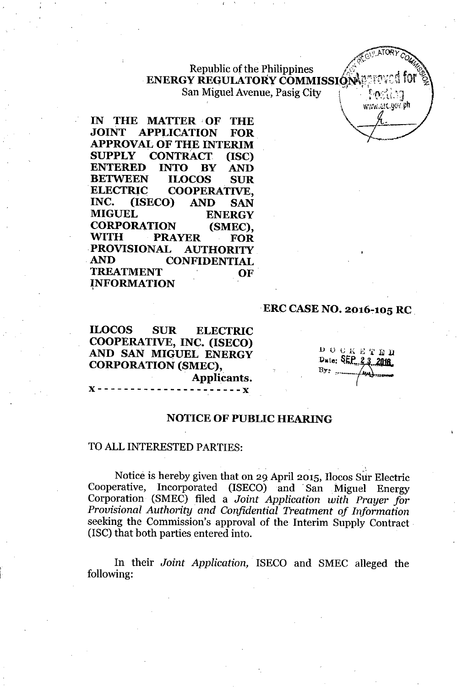Republic of the Philippines  $ENERGY$  **REGULATORY** COMMISSION San Miguel Avenue, Pasig City

 $\mathbf{r} = \mathbf{r}$ 

**IN THE MATTER OF THE**<br>**JOINT APPLICATION FOR APPLICATION APPROVAL OF THE INTERIM SUPPLY CONTRACT (ISC) ENTERED INTO BY AND BETWEEN ILOCOS SUR ELECTRIC COOPERATIVE,<br>INC. (ISECO) AND SAN INC. (ISECO) AND SAN MIGUEL ENERGY CORPORATION (SMEC), WITH PRAYER FOR PROVISIONAL AUTHORITY AND CONFIDENTIAL TREATMENT OF - INFORMATION** ,

# **-ERC CASE NO.** 2016~105**RC \_**

**ILOCOS SUR ELECTRIC COOPERATIVE, INC. (ISECO) AND SAN MIGUEL ENERGY CORPORATION (SMEC), Applicants.**  $- - X$ 

.I) **0 C1\ E ',fEll** Dete: **SEP.**, 23, 2018

 $\mathbb{R}$  atory  $\mathbb{R}$ 

-, >c"",,' :.r{ *W",'* no

 $0$ r $\frac{1}{2}$ 

ATORY COMP

## **NOTICE OF PUBLIC HEARING**

#### TO ALL INTERESTED PARTIES:

**x----------------------x**

.. Notice is hereby given that on 29 April 2015, Ilocos Sur Electric Cooperative, Incorporated (ISECO) and San Miguel Energy Corporation (SMEC) filed a *Joint Application with Prayer for Provisional Authority and Confidential Treatment of Information* seeking the Commission's approval of the Interim Supply Contract - (ISC) that both parties entered into.

**In** their *Joint Application,* ISECO and SMEC alleged the following: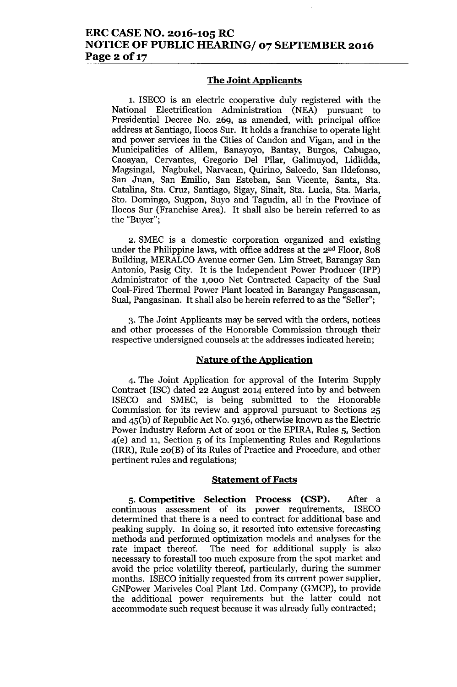### **The Joint Applicants**

1. ISECO is an electric cooperative duly registered with the National Electrification Administration (NEA) pursuant to Presidential Decree No. 269, as amended, with principal office address at Santiago, Ilocos Sur. It holds a franchise to operate light and power services in the Cities of Candon and Vigan, and in the Municipalities of Alilem, Banayoyo, Bantay, Burgos, Cabugao, Caoayan, Cervantes, Gregorio Del Pilar, Galimuyod, Lidlidda, Magsingal, Nagbukel, Narvacan, Quirino, Salcedo, San Ildefonso, San Juan, San Emilio, San Esteban, San Vicente, Santa, Sta. Catalina, Sta. Cruz, Santiago, Sigay, Sinait, Sta. Lucia, Sta. Maria, Sto. Domingo, Sugpon, Suyo and Tagudin, all in the Province of Ilocos Sur (Franchise Area). It shall also be herein referred to as the "Buyer";

2. SMEC is a domestic corporation organized and existing under the Philippine laws, with office address at the 2nd Floor, 808 Building, MERALCO Avenue corner Gen. Lim Street, Barangay San Antonio, Pasig City. It is the Independent Power Producer (IPP) Administrator of the 1,000 Net Contracted Capacity of the Sual Coal-Fired Thermal Power Plant located in Barangay Pangascasan, Sual, Pangasinan. It shall also be herein referred to as the "Seller";

3. The Joint Applicants may be served with the orders, notices and other processes of the Honorable Commission through their respective undersigned counsels at the addresses indicated herein;

### **Nature of the Application**

4. The Joint Application for approval of the Interim Supply Contract (ISC) dated 22 August 2014 entered into by and between ISECO and SMEC, is being submitted to the Honorable Commission for its review and approval pursuant to Sections 25 and 45(b) of Republic Act No. 9136, otherwise known as the Electric Power Industry Reform Act of 2001 or the EPIRA, Rules 5, Section 4(e) and 11, Section 5 of its Implementing Rules and Regulations (IRR), Rule 20(B) of its Rules of Practice and Procedure, and other pertinent rules and regulations;

#### **Statement of Facts**

5. **Competitive Selection Process (CSP).** After a continuous assessment of its power requirements, ISECO determined that there is a need to contract for additional base and peaking supply. In doing so, it resorted into extensive forecasting methods and performed optimization models and analyses for the rate impact thereof. The need for additional supply is also necessary to forestall too much exposure from the spot market and avoid the price volatility thereof, particularly, during the summer months. ISECO initially requested from its current power supplier, GNPower Mariveles Coal Plant Ltd. Company (GMCP), to provide the additional power requirements but the latter could not accommodate such request because it was already fully contracted;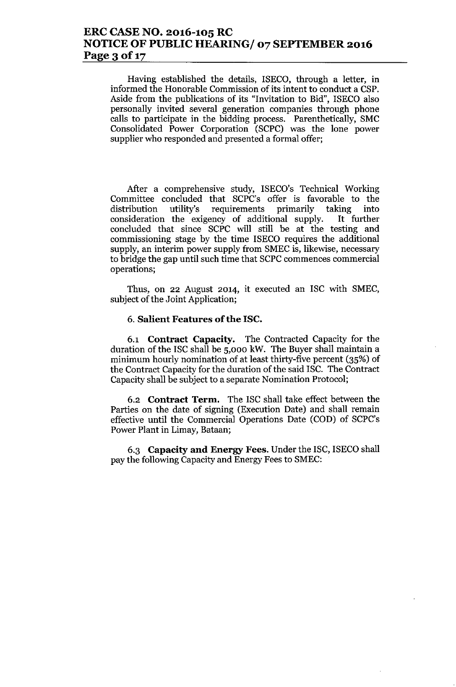# **ERC CASE NO. 2016-105 RC NOTICE OF PUBLIC HEARING/ 07 SEPTEMBER 2016** Page 3 of 17

Having established the details, ISECO, through a letter, in informed the Honorable Commission of its intent to conduct a CSP. Aside from the publications of its "Invitation to Bid", ISECO also personally invited several generation companies through phone calls to participate in the bidding process. Parenthetically, SMC Consolidated Power Corporation (SCPC) was the lone power supplier who responded and presented a formal offer;

After a comprehensive study, ISECO's Technical Working Committee concluded that SCPC's offer is favorable to the distribution utility's requirements primarily taking into consideration the exigency of additional supply. It further concluded that since SCPC will still be at the testing and commissioning stage by the time ISECO requires the additional supply, an interim power supply from SMEC is, likewise, necessary to bridge the gap until such time that SCPC commences commercial operations;

Thus, on 22 August 2014, it executed an ISC with SMEC, subject of the Joint Application;

#### 6. **Salient Features** of the **ISC.**

6.1 **Contract Capacity.** The Contracted Capacity for the duration of the ISC shall be 5,000 kW. The Buyer shall maintain a minimum hourly nomination of at least thirty-five percent (35%) of the Contract Capacity for the duration of the said ISC. The Contract Capacity shall be subject to a separate Nomination Protocol;

6.2 **Contract Term.** The ISC shall take effect between the Parties on the date of signing (Execution Date) and shall remain effective until the Commercial Operations Date (COD) of SCPC's Power Plant in Limay, Bataan;

6.3 **Capacity and Energy** Fees. Under the ISC, ISECOshall pay the following Capacity and Energy Fees to SMEC: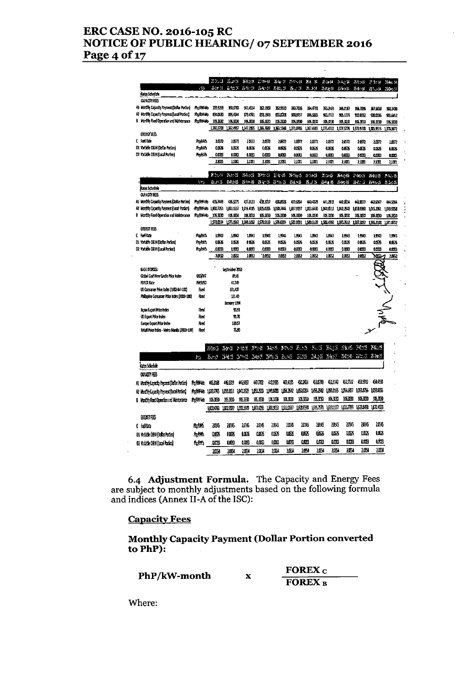#### ERC CASE NO. 2016-105 RC NOTICE OF PUBLIC HEARING/ 07 SEPTEMBER 2016 Page 4 of 17

|                                              | 455             | <b>B</b> is N     | 50.3 Det<br><b>並従</b> に |                        | 2-624 EBP4<br>お髪 き お屋具 |                   | 7.1.2.2                  | $B_1$ , $T = 1$ | New P. H. M. K. K<br>8.3.3 | is a-M<br>2.34       | $3 - 2 - 16$<br>1.685 | $\mathcal{H} \times \mathcal{H}$<br>50-14 | 25.0d M<br>$H^{\ast}$ and | $36 - 60 = 14$<br>25 Dec 13 |
|----------------------------------------------|-----------------|-------------------|-------------------------|------------------------|------------------------|-------------------|--------------------------|-----------------|----------------------------|----------------------|-----------------------|-------------------------------------------|---------------------------|-----------------------------|
| fates Schedule                               |                 |                   |                         |                        |                        |                   |                          |                 |                            |                      |                       |                                           |                           |                             |
| <b><i>CUACTY FEES</i></b>                    |                 |                   |                         |                        |                        |                   |                          |                 |                            |                      |                       |                                           |                           |                             |
| At Marchy Capacity Payment (Datas Portion)   | Profili do      | 39.329            | 3.1.5733                | <b>151434</b>          | 32.309                 |                   | 362.9510                 | 383.7136        | <b>ISL4783</b>             | <b>KLN5</b>          | 356.0157              | 55,726                                    | 367,5550                  | 38300                       |
| Al Mostin Capacity Payment (Local Portion)   | Profiti alo     | <b>SMAKE</b>      | 15.GH                   | 179.4701               | 851.343                |                   | ಮಾ                       | 5011777         | 纵驱                         | 931717               | 9051779               | 900.0052                                  | \$30.0036                 | 936612                      |
| Horizh Fred Operation and Markettance<br>Ы   | Rollwab         | 10,1330           | 1063330                 | 106,3330               | 105.3330               |                   | 10.3330                  | 1063830         | 105,5330                   | 105,530              | 105,3230              | 105,430                                   | 1053230                   | 1063830                     |
|                                              |                 | 1,360,3708        | 13624957                | 1.47.265               | 365.7682               |                   | 1,361130                 | 1371.0703       | 1,367.668                  | 1,375.4022           | 1371576               | 1,171,1778                                | 1,371.9515                | 1,743672                    |
| EXERGY FEES                                  |                 |                   |                         |                        |                        |                   |                          |                 |                            |                      |                       |                                           |                           |                             |
| C folke                                      | <b>Hofish</b>   | 1.37              | 1897                    | 16.72                  | imn                    |                   | 2872                     | 10372           | 1.371                      | 1017                 | 20372                 | 107                                       | 1.0372                    | 1877                        |
| 01 Variable 0&M (Docar Porton)               | <b>Hoftish</b>  | <b>LISK</b>       | 0.006                   | MM.                    | 0.00%                  |                   | <b>LISX</b>              | 0.06.6          | 0.626                      | 40575                | 0.0525                | 0.00%                                     | 0.0525                    | 1053                        |
| 02 Yadaki 03M(lacal Potos)                   | <b>Holtish</b>  | 0.0083            | 0.003                   | <b>ADER</b>            | 0.003                  |                   | LDB3                     | 0.000           | 0.083                      | <b>LOOKS</b>         | 0.0033                | 6003                                      | cms                       | 0.003                       |
|                                              |                 | 2.100             | 1,100                   | 1101                   | 2.1031                 |                   | 2,1031                   | 1101            | 1.181                      | 2,1031               | 21031                 | 21001                                     | 2.103                     | 11031                       |
|                                              |                 | 83.44             | 25785-25                | Zoleo 5                |                        | MAND ENGIN HARD   |                          |                 | $R = 15$                   | $2 - 15$             | $2 - 4 - 5$           | 246.5                                     | 25-01-15                  | $2 - 3 - 5$                 |
|                                              | ĥ,              | 5.1.15            | 64.DB                   | $25 - 15$              | $5 - 3$                |                   | $5 - 1 - 3$              | $7 - 15$        | 3.15                       | $134.4 - 15$         | 1.57.5                | ڈ بارا                                    | $25 - 3 - 15$             | 75 Sec. 25                  |
| <b>Raus Schedule</b><br><b>OUACTY FES</b>    |                 |                   |                         |                        |                        |                   |                          |                 |                            |                      |                       |                                           |                           |                             |
| Al Month Capadiy Payzent (Collar Partico)    | Rojin-lib       | 43.746            | 435.5275                | 43133                  | (31.1)                 |                   | 61.1911                  | 439.6854        | 40428                      | 41.7313              | <b>HILLIA</b>         | 40.877                                    | 40.697                    | 44554                       |
| A2 Martin Capacity Payment (Local Portion)   | -Romhad Libija) |                   | LB11557                 | 1,016.4105             | 1.05.025               |                   | 1.031.746                | 1,31,9197       | 1.033.6430                 | 100.017              | 1012543               | 1.038.050                                 | 10452361                  | 1005558                     |
| B Martin Fixed Operation and Mainteraine     |                 | Hayiwad 106.1830  | 105,330                 | 106333                 | 106.3830               |                   | 10,330                   | 106.3330        | 106.330                    | 105.3830             | 106.000               | 106.3030                                  | 10.383                    | 1063830                     |
|                                              |                 | 1,572.634         | 1,575.0662              | 1,50,152               | -1219-2133             |                   | 1,576.0204               | 156331          | 1580.518                   | 156360               | 1,907.12              | 1,537,3357                                | 1,55,3133                 | 1,918792                    |
| <b>ELEASY FEES</b>                           |                 |                   |                         |                        |                        |                   |                          |                 |                            |                      |                       |                                           |                           |                             |
| C Fullbre                                    | Politica        | 1.90              | LIKI                    | 1393                   | 1.943                  |                   | 156                      | 1993            | 1.90                       | LSN3                 | 1993                  | 1593                                      | 1,993                     | 1943                        |
| 01 Vatable 08M (Dolar Portion)               | <b>Refina</b>   | 053               | 0.0526                  | 0.056                  | 0.526                  |                   | 1.05%                    | 0.0676          | 0.05%                      | 0.0525               | 0.0676                | 0056                                      | 00036                     | 1053                        |
| 02 Volable O&M (Local Person)                | Hphnh           | arn               | 0.000                   | 0.0033                 | ama                    |                   | tms)                     | aans            | 0.003                      | 0,008                | 0003                  | 0003                                      | 0.000                     | 0.003                       |
|                                              |                 | 289               | 2652                    | 1052                   | 2.052                  |                   | 1061                     | 1052            | 1,652                      | 1,055                | 2052                  | 2062                                      | Χ6Σ⊿                      | 1851                        |
| BASE PROCES:                                 |                 |                   | Serbert 2012            |                        |                        |                   |                          |                 |                            |                      |                       |                                           |                           |                             |
| Gobal Coal New Castle Price Index            | <b>USDINIT</b>  |                   | 81.0                    |                        |                        |                   |                          |                 |                            |                      |                       |                                           |                           |                             |
| <b>FORDI Lite</b>                            | maso            |                   | 110                     |                        |                        |                   |                          |                 |                            |                      |                       |                                           |                           |                             |
| US Consomer Poice Index (1982-84=100)        | ĥм              |                   | 231.417                 |                        |                        |                   |                          |                 |                            |                      |                       |                                           |                           |                             |
| Philippine Consumer Price Index (2006=100)   | Rec             |                   | 131.0                   |                        |                        |                   |                          |                 |                            |                      |                       |                                           |                           |                             |
|                                              |                 |                   | tenary 1994             |                        |                        |                   |                          |                 |                            |                      |                       |                                           |                           |                             |
| lagon Eugent Mace Inden                      | <b>Red</b>      |                   | 蛀弱                      |                        |                        |                   |                          |                 |                            |                      |                       |                                           |                           |                             |
| US Export Price Inscr                        | Red             |                   | 91.73                   |                        |                        |                   |                          |                 |                            |                      |                       |                                           |                           | ANN                         |
| Europe Export Mate Index                     | Reed            |                   | 12957                   |                        |                        |                   |                          |                 |                            |                      |                       |                                           |                           |                             |
| Rétail Price Index - Metro Manila (2000=100) | Revi            |                   | 75.90                   |                        |                        |                   |                          |                 |                            |                      |                       |                                           |                           |                             |
|                                              |                 | č.r.s             | $-2^{n-1}$              | と接近                    | 建进                     | 3.5               | A Selection              | 1.11            | $\sim$                     | 35. 35               | 感恩                    | 30                                        | X., S                     |                             |
|                                              | h.              | $E = 1$           | 34.5                    | 3 h 3                  | 34-5 3255              |                   | 表示的                      | 30.55           | 24,55                      | $-55 - 5$            | 36:15                 | $\ddot{\omega}$ and                       | 2.94%                     |                             |
| kaastelee                                    |                 |                   |                         |                        |                        |                   |                          |                 |                            |                      |                       |                                           |                           |                             |
| <b>OUNITY FES</b>                            |                 |                   |                         |                        |                        |                   |                          |                 |                            |                      |                       |                                           |                           |                             |
| Ai Modify Cassoly Payzent Dollar Portion)    | <b>Recover</b>  | 45319             | 451313                  | 455197                 | 40.TXB                 | 化强                | 49.115                   | <b>FAIG1</b>    | 6179                       | 61.10                | 152.512               | 43.912                                    | 6693                      |                             |
|                                              |                 |                   |                         |                        |                        |                   |                          |                 | 109.792                    | 1091155              | 1055357               |                                           | 1061076 1069.005          |                             |
| A2 MacCity Capecia Perseal (Local Portico)   | Prayna 108775   |                   | LOUISE                  | 119722                 | 1.63.833               | 100000            | 106260                   | 1.52024         |                            |                      |                       |                                           |                           |                             |
| 6 North Red Opertion not Materian a          | <b>Andre</b>    | 1063530<br>Loage. | 105.3030<br>URIN)       | <b>IX330</b><br>133599 | 16.KX<br>1.00.0%       | 10,330<br>LELLESS | 105,330<br><b>TITTEL</b> | 1053230         | 15.230<br>160553 16157571  | 19.331<br>1,011,1137 | 抓取<br>LCLUZE)         | 105,300<br>10358                          | 1053530<br>ណ្ណយ           |                             |
| <b>ENERGY FEES</b>                           |                 |                   |                         |                        |                        |                   |                          |                 |                            |                      |                       |                                           |                           |                             |
| (idhe                                        | 所斷              | 2015              | 2015                    | 116                    | 2015                   | 1MG               | 105                      |                 | 2015                       | 2015                 | 瑯<br>2045             | 2014                                      | 2015                      |                             |
|                                              |                 |                   |                         |                        |                        |                   |                          |                 |                            |                      |                       |                                           |                           |                             |
|                                              |                 |                   |                         |                        |                        |                   |                          |                 |                            |                      |                       |                                           |                           |                             |
| 01 Vidde 05MDdarPatod                        | 馬橋              | uss               | en X                    | LCX                    | œ                      | oncy.             | <b>ODEXE</b>             |                 | AÁCS                       | OC 6                 | ùЖ<br><b>LOCY</b>     | <b>MSS</b>                                | OC 76                     |                             |
| 02 Yadade 0834 [total Porfor]                | Protti:         | QUO3              | ANCS)                   | 0.UB                   | <b>LING</b>            | 0 <b>m</b>        | ùŒ,                      |                 | <b>LICE</b>                | ùш                   | ODRI                  | LOS.<br>咖                                 | u 3<br>183                |                             |

 $\begin{array}{c}\n\epsilon \\
\epsilon\n\end{array}$ 

 $\ddot{\cdot}$ 

6.4 Adjustment Formula. The Capacity and Energy Fees are subject to monthly adjustments based on the following formula and indices (Annex II-A of the ISC):

## Capacity Fees

Monthly Capacity Payment (Dollar Portion converted to PhP):

|              | <b>FOREX</b> <sub>C</sub> |
|--------------|---------------------------|
| PhP/kW-month | <b>FOREX B</b>            |

Where: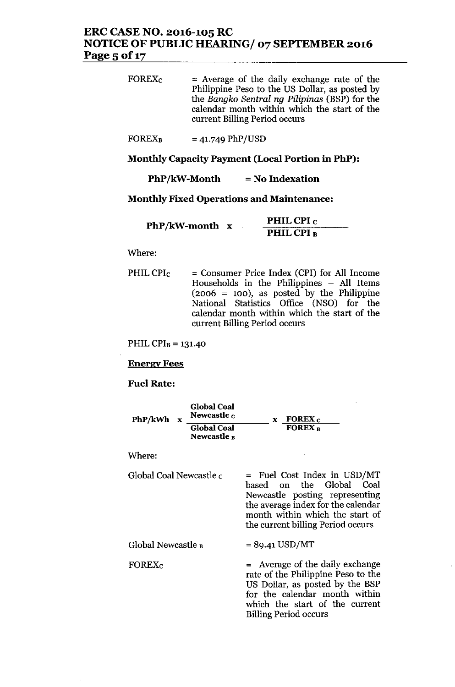# ERC CASE NO. 2016-105 RC NOTICE OF PUBLIC HEARING/ 07 SEPfEMBER 2016 Page 5 of 17

FOREXc = Average of the daily exchange rate of the Philippine Peso to the US Dollar, as posted by the *Bangko Sentral ng Pilipinas* (BSP) for the calendar month within which the start of the current Billing Period occurs

**FOREX**<sub>B</sub> = 41.749 PhP/USD

Monthly Capacity Payment (Local Portion in PhP):

 $PhP/kW-Month$  = No Indexation

Monthly Fixed Operations and Maintenance:

|                |  | PHIL CPI <sub>C</sub> |
|----------------|--|-----------------------|
| PhP/kW-month x |  | PHIL CPI B            |

Where:

PHILCPI<sub>C</sub> = Consumer Price Index (CPI) for All Income Households in the Philippines - All Items  $(2006 = 100)$ , as posted by the Philippine National Statistics Office (NSO) for the calendar month within which the start of the current Billing Period occurs

PHIL CPI $_B$  = 131.40

Energy Fees

Fuel Rate:

| PhP/kWh<br>$\mathbf x$  | Global Coal<br>Newcastle c<br><b>Global Coal</b> | $\boldsymbol{x}$ FOREX $\boldsymbol{c}$<br>FOREX <sub>B</sub>                                                                                                                                           |
|-------------------------|--------------------------------------------------|---------------------------------------------------------------------------------------------------------------------------------------------------------------------------------------------------------|
|                         | Newcastle <sub>B</sub>                           |                                                                                                                                                                                                         |
| Where:                  |                                                  |                                                                                                                                                                                                         |
| Global Coal Newcastle c |                                                  | = Fuel Cost Index in USD/MT<br>based on the Global Coal<br>Newcastle posting representing<br>the average index for the calendar<br>month within which the start of<br>the current billing Period occurs |
| Global Newcastle B      |                                                  | $= 89.41$ USD/MT                                                                                                                                                                                        |
| FOREX <sub>c</sub>      |                                                  | = Average of the daily exchange<br>rota of the Philinning Peso to the                                                                                                                                   |

rate of the Philippine Peso to the US Dollar, as posted by the BSP for the calendar month within which the start of the current Billing Period occurs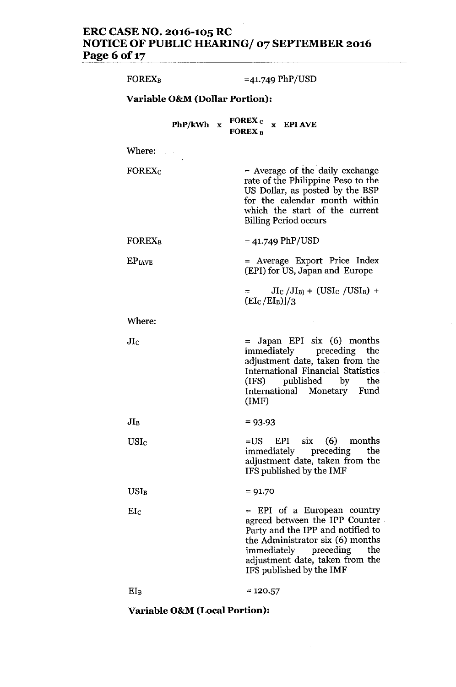#### **ERC CASE NO. 2016-105 RC NOTICE OF PUBLIC HEARING/ 07 SEPTEMBER 2016 Page 6** of 17

| <b>FOREX<sub>B</sub></b>  |                                           | $=41.749$ PhP/USD                                                                                                                                                                                                                     |
|---------------------------|-------------------------------------------|---------------------------------------------------------------------------------------------------------------------------------------------------------------------------------------------------------------------------------------|
|                           | <b>Variable O&amp;M (Dollar Portion):</b> |                                                                                                                                                                                                                                       |
|                           |                                           | PhP/kWh $x$ FOREX $c$ $x$ EPI AVE<br><b>FOREX B</b>                                                                                                                                                                                   |
| Where:                    |                                           |                                                                                                                                                                                                                                       |
| <b>FOREX</b> <sub>C</sub> |                                           | $=$ Average of the daily exchange<br>rate of the Philippine Peso to the<br>US Dollar, as posted by the BSP<br>for the calendar month within<br>which the start of the current<br><b>Billing Period occurs</b>                         |
| <b>FOREX<sub>B</sub></b>  |                                           | $= 41.749$ PhP/USD                                                                                                                                                                                                                    |
| EP <sub>IAVE</sub>        |                                           | = Average Export Price Index<br>(EPI) for US, Japan and Europe                                                                                                                                                                        |
|                           |                                           | $JI_C/JI_B$ + (USI <sub>C</sub> /USI <sub>B</sub> ) +<br>$(EI_C/EI_B)]/3$                                                                                                                                                             |
| Where:                    |                                           |                                                                                                                                                                                                                                       |
| $_{\rm JIc}$              |                                           | $=$ Japan EPI six (6) months<br>immediately preceding<br>the<br>adjustment date, taken from the<br>International Financial Statistics<br>(IFS) published by the<br>International Monetary Fund<br>(MF)                                |
| $JI_B$                    |                                           | $= 93.93$                                                                                                                                                                                                                             |
| USIc                      |                                           | EPI $six$ (6) months<br>$=$ US<br>immediately preceding<br>the<br>adjustment date, taken from the<br>IFS published by the IMF                                                                                                         |
| $USI_B$                   |                                           | $= 91.70$                                                                                                                                                                                                                             |
| $\rm{EI}_C$               |                                           | = EPI of a European country<br>agreed between the IPP Counter<br>Party and the IPP and notified to<br>the Administrator six (6) months<br>immediately preceding<br>the<br>adjustment date, taken from the<br>IFS published by the IMF |
| $EI_B$                    |                                           | $= 120.57$                                                                                                                                                                                                                            |

**Variable O&M(Local Portion):**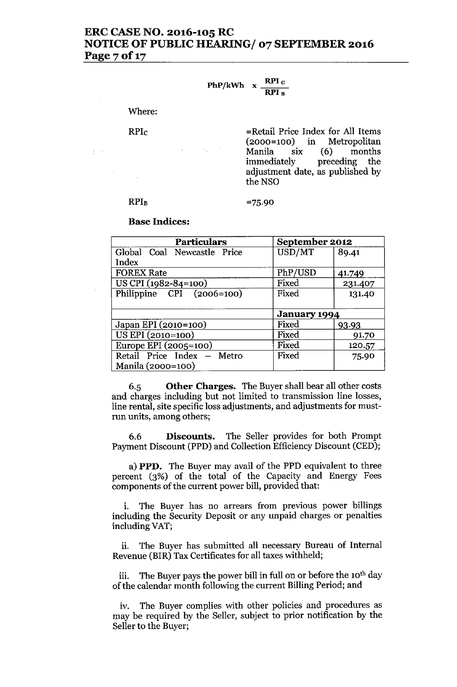# ERC CASE NO. 2016-105 RC NOTICE OF PUBLIC HEARING/ 07 SEPTEMBER 2016 Page 7 of 17

### PhP/kWh  $\rm\,x \,$   $\rm\,$   $\rm\,$   $\rm\,$   $\rm\,$   $\rm\,$   $\rm\,$   $\rm\,$ RPI 1

Where:

RPIc

 $\frac{1}{2}$  ,  $\frac{1}{2}$  ,

=Retail Price Index for All Items (2000=100) in Metropolitan Manila six (6) months immediately preceding the adjustment date, as published by the NSO

#### **RPIB**

#### =75.90

#### Base Indices:

| <b>Particulars</b>            | September 2012      |         |
|-------------------------------|---------------------|---------|
| Global Coal Newcastle Price   | USD/MT              | 89.41   |
| Index                         |                     |         |
| <b>FOREX Rate</b>             | PhP/USD             | 41.749  |
| US CPI (1982-84=100)          | Fixed               | 231.407 |
| Philippine $CPI$ $(2006=100)$ | Fixed               | 131.40  |
|                               |                     |         |
|                               | <b>January 1994</b> |         |
| Japan EPI (2010=100)          | Fixed               | 93.93   |
| US EPI (2010=100)             | Fixed               | 91.70   |
| Europe EPI (2005=100)         | Fixed               | 120.57  |
| Retail Price Index - Metro    | Fixed               | 75.90   |
| Manila (2000=100)             |                     |         |

6.5 Other Charges. The Buyer shall bear all other costs and charges including but not limited to transmission line losses, line rental, site specific loss adjustments, and adjustments for mustrun units, among others;

6.6 Discounts. The Seller provides for both Prompt Payment Discount (PPD) and Collection Efficiency Discount (CED);

a) PPD. The Buyer may avail of the PPD equivalent to three percent (3%) of the total of the Capacity and Energy Fees components of the current power bill, provided that:

i. The Buyer has no arrears from previous power billings including the Security Deposit or any unpaid charges or penalties including VAT;

ii. The Buyer has submitted all necessary Bureau of Internal Revenue (BIR) Tax Certificates for all taxes withheld;

iii. The Buyer pays the power bill in full on or before the 10<sup>th</sup> day of the calendar month following the current Billing Period; and

iv. The Buyer complies with other policies and procedures as may be required by the Seller, subject to prior notification by the Seller to the Buyer;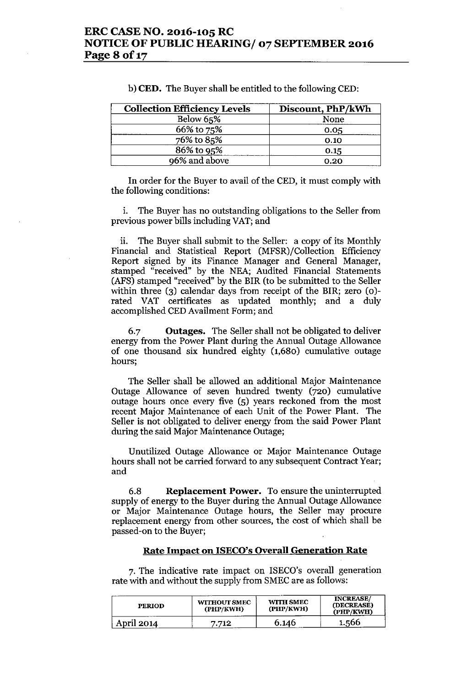| <b>Collection Efficiency Levels</b> | Discount, PhP/kWh |
|-------------------------------------|-------------------|
| Below 65%                           | None              |
| 66% to 75%                          | 0.05              |
| 76% to 85%                          | 0.10              |
| 86% to 95%                          | 0.15              |
| 96% and above                       | 0.20              |

b) **CED.** The Buyer shall be entitled to the following CED:

In order for the Buyer to avail of the CED, it must comply with the following conditions:

i. The Buyer has no outstanding obligations to the Seller from previous power bills including VAT;and

ii. The Buyer shall submit to the Seller: a copy of its Monthly Financial and Statistical Report (MFSR)/Collection Efficiency Report signed by its Finance Manager and General Manager, stamped "received" by the NEA; Audited Financial Statements (AFS) stamped "received" by the BIR (to be submitted to the Seller within three (3) calendar days from receipt of the BIR; zero (0) rated VAT certificates as updated monthly; and a duly accomplished CEDAvailment Form; and

6.7 **Outages.** The Seller shall not be obligated to deliver energy from the Power Plant during the Annual Outage Allowance of one thousand six hundred eighty (1,680) cumulative outage hours;

The Seller shall be allowed an additional Major Maintenance Outage Allowance of seven hundred twenty (720) cumulative outage hours once every five (5) years reckoned from the most recent Major Maintenance of each Unit of the Power Plant. The Seller is not obligated to deliver energy from the said Power Plant during the said Major Maintenance Outage;

Unutilized Outage Allowance or Major Maintenance Outage hours shall not be carried forward to any subsequent Contract Year; and

6.8 **Replacement Power.** To ensure the uninterrupted supply of energy to the Buyer during the Annual Outage Allowance or Major Maintenance Outage hours, the Seller may procure replacement energy from other sources, the cost of which shall be passed-on to the Buyer;

#### **Rate Impact on ISECO's Overall Generation Rate**

7. The indicative rate impact on ISECO's overall generation rate with and without the supply from SMEC are as follows:

| <b>PERIOD</b> | <b>WITHOUT SMEC</b><br>(PHP/KWH) | <b>WITH SMEC</b><br>(PHP/KWH) | <b>INCREASE/</b><br>(DECREASE)<br>(PHP/KWH) |
|---------------|----------------------------------|-------------------------------|---------------------------------------------|
| April 2014    | 7.712                            | 6.146                         | 1.566                                       |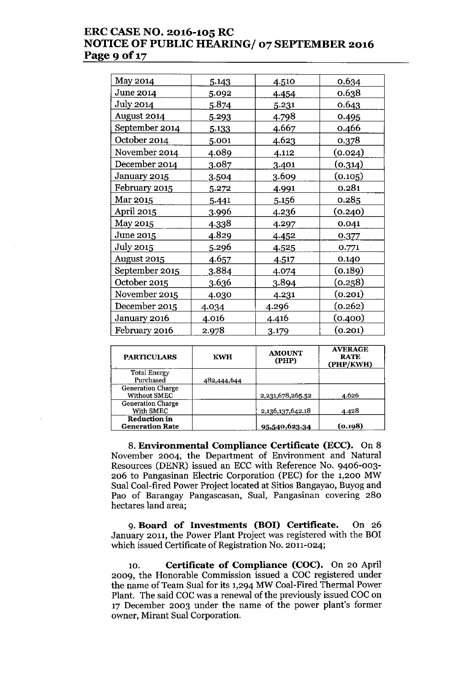# **ERC CASE NO. 2016-105 RC NOTICE OF PUBLIC HEARING/ 07 SEPTEMBER 2016 Page 9 of 17**

| May 2014             | 5.143        | 4.510 | 0.634   |
|----------------------|--------------|-------|---------|
| June 2014            | 5.092        | 4.454 | 0.638   |
| July 2014            | 5.874        | 5.231 | 0.643   |
| August 2014          | 5.293        | 4.798 | 0.495   |
| September 2014       | 5.133        | 4.667 | 0.466   |
| October 2014         | 5.001        | 4.623 | 0.378   |
| November 2014        | 4.089        | 4.112 | (0.024) |
| December 2014        | <u>3.087</u> | 3.401 | (0.314) |
| January 2015         | 3.504        | 3.609 | (0.105) |
| <u>February 2015</u> | 5.272        | 4.991 | 0.281   |
| Mar 2015             | 5.441        | 5.156 | 0.285   |
| April 2015           | 3.996        | 4.236 | (0.240) |
| <b>May 2015</b>      | <u>4.338</u> | 4.297 | 0.041   |
| June 2015            | 4.829        | 4.452 | 0.377   |
| <b>July 2015</b>     | 5.296        | 4.525 | 0.771   |
| August 2015          | <u>4.657</u> | 4.517 | 0.140   |
| September 2015       | 3.884        | 4.074 | (0.189) |
| October 2015         | 3.636        | 3.894 | (0.258) |
| November 2015        | 4.030        | 4.231 | (0.201) |
| December 2015        | 4.034        | 4.296 | (0.262) |
| January 2016         | 4.016        | 4.416 | (0.400) |
| February 2016        | 2.978        | 3.179 | (0.201) |

| <b>PARTICULARS</b>                              | <b>KWH</b>  | <b>AMOUNT</b><br>(PHP) | <b>AVERAGE</b><br><b>RATE</b><br>(PHP/KWH) |
|-------------------------------------------------|-------------|------------------------|--------------------------------------------|
| <b>Total Energy</b><br>Purchased                | 482,444,644 |                        |                                            |
| <b>Generation Charge</b><br><b>Without SMEC</b> |             | 2,231,678,265.52       | 4.626                                      |
| Generation Charge<br>With SMEC                  |             | 2,136,137,642.18       | 4.428                                      |
| <b>Reduction in</b><br><b>Generation Rate</b>   |             | 95,540,623.34          | (0.198)                                    |

8. **Environmental Compliance Certificate (ECC).** On 8 November 2004, the Department of Environment and Natural Resources (DENR) issued an ECC with Reference No. 9406-003- 206 to Pangasinan Electric Corporation (PEC) for the 1,200 MW Sual Coal-fired Power Project located at Sitios Bangayao, Buyog and Pao of Barangay Pangascasan, Sual, Pangasinan covering 280 hectares land area;

9. **Board of Investments (BOI) Certificate.** On 26 January 2011, the Power Plant Project was registered with the BOI which issued Certificate of Registration No. 2011-024;

10. **Certificate of Compliance (COC).** On 20 April 2009, the Honorable Commission issued a COC registered under the name of Team Sual for its 1,294 MW Coal-Fired Thermal Power Plant. The said COC was a renewal of the previously issued COC on 17 December 2003 under the name of the power plant's former owner, Mirant Sual Corporation.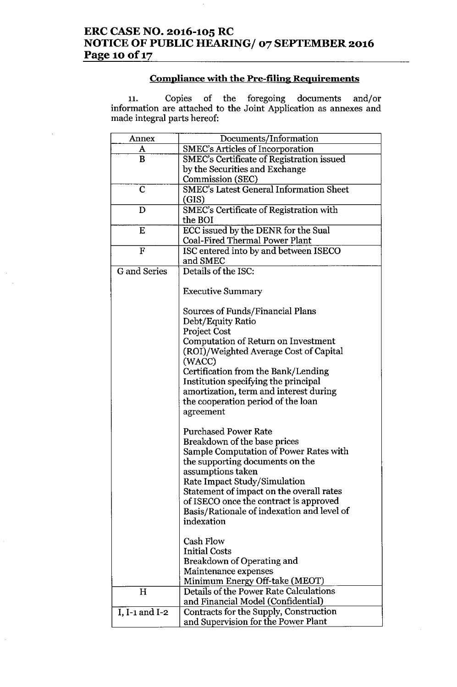# **Compliance with the Pre-filing Requirements**

11. Copies of the foregoing documents and/c information are attached to the Joint Application as annexes and made integral parts hereof:

| Annex               | Documents/Information                                                         |
|---------------------|-------------------------------------------------------------------------------|
| A                   | <b>SMEC's Articles of Incorporation</b>                                       |
| B                   | SMEC's Certificate of Registration issued                                     |
|                     | by the Securities and Exchange                                                |
|                     | Commission (SEC)                                                              |
| $\overline{C}$      | <b>SMEC's Latest General Information Sheet</b>                                |
|                     | (GIS)                                                                         |
| D                   | SMEC's Certificate of Registration with                                       |
|                     | the BOI                                                                       |
| E                   | ECC issued by the DENR for the Sual                                           |
|                     | <b>Coal-Fired Thermal Power Plant</b>                                         |
| $\mathbf F$         | ISC entered into by and between ISECO                                         |
|                     | and SMEC                                                                      |
| <b>G</b> and Series | Details of the ISC:                                                           |
|                     |                                                                               |
|                     | <b>Executive Summary</b>                                                      |
|                     |                                                                               |
|                     | Sources of Funds/Financial Plans                                              |
|                     | Debt/Equity Ratio                                                             |
|                     | <b>Project Cost</b>                                                           |
|                     | Computation of Return on Investment<br>(ROI)/Weighted Average Cost of Capital |
|                     | (WACC)                                                                        |
|                     | Certification from the Bank/Lending                                           |
|                     | Institution specifying the principal                                          |
|                     | amortization, term and interest during                                        |
|                     | the cooperation period of the loan                                            |
|                     | agreement                                                                     |
|                     |                                                                               |
|                     | <b>Purchased Power Rate</b>                                                   |
|                     | Breakdown of the base prices                                                  |
|                     | Sample Computation of Power Rates with                                        |
|                     | the supporting documents on the                                               |
|                     | assumptions taken                                                             |
|                     | Rate Impact Study/Simulation                                                  |
|                     | Statement of impact on the overall rates                                      |
|                     | of ISECO once the contract is approved                                        |
|                     | Basis/Rationale of indexation and level of                                    |
|                     | indexation                                                                    |
|                     |                                                                               |
|                     | Cash Flow                                                                     |
|                     | <b>Initial Costs</b>                                                          |
|                     | Breakdown of Operating and                                                    |
|                     | Maintenance expenses                                                          |
| H                   | Minimum Energy Off-take (MEOT)<br>Details of the Power Rate Calculations      |
|                     | and Financial Model (Confidential)                                            |
| I, $I-1$ and $I-2$  | Contracts for the Supply, Construction                                        |
|                     | and Supervision for the Power Plant                                           |
|                     |                                                                               |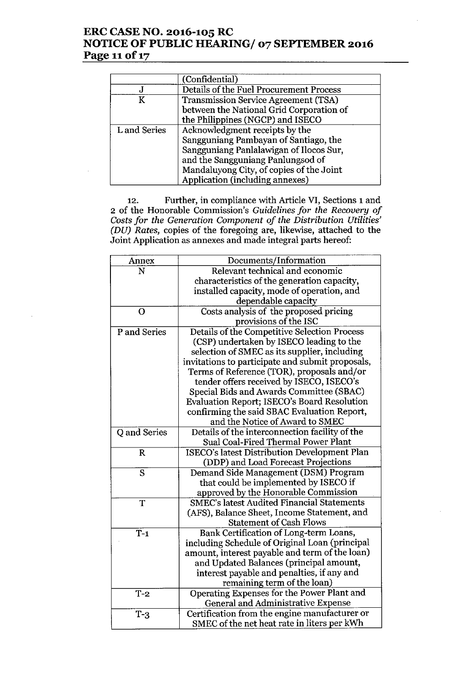# **ERC CASE NO. 2016-105 RC NOTICE OF PUBLIC HEARING/ 07 SEPTEMBER 2016 Page 11**of 17

|              | (Confidential)                              |
|--------------|---------------------------------------------|
|              | Details of the Fuel Procurement Process     |
| K            | <b>Transmission Service Agreement (TSA)</b> |
|              | between the National Grid Corporation of    |
|              | the Philippines (NGCP) and ISECO            |
| L and Series | Acknowledgment receipts by the              |
|              | Sangguniang Pambayan of Santiago, the       |
|              | Sangguniang Panlalawigan of Ilocos Sur,     |
|              | and the Sangguniang Panlungsod of           |
|              | Mandaluyong City, of copies of the Joint    |
|              | Application (including annexes)             |

12. Further, in compliance with Article VI, Sections 1 and 2 of the Honorable Commission's *Guidelines for the Recovery of Costsfor the Generation Component of the Distribution Utilities' (DU) Rates,* copies of the foregoing are, likewise, attached to the Joint Application as annexes and made integral parts hereof:

| Annex          | Documents/Information                             |
|----------------|---------------------------------------------------|
| N              | Relevant technical and economic                   |
|                | characteristics of the generation capacity,       |
|                | installed capacity, mode of operation, and        |
|                | dependable capacity                               |
| $\mathbf O$    | Costs analysis of the proposed pricing            |
|                | provisions of the ISC                             |
| P and Series   | Details of the Competitive Selection Process      |
|                | (CSP) undertaken by ISECO leading to the          |
|                | selection of SMEC as its supplier, including      |
|                | invitations to participate and submit proposals,  |
|                | Terms of Reference (TOR), proposals and/or        |
|                | tender offers received by ISECO, ISECO's          |
|                | Special Bids and Awards Committee (SBAC)          |
|                | Evaluation Report; ISECO's Board Resolution       |
|                | confirming the said SBAC Evaluation Report,       |
|                | and the Notice of Award to SMEC                   |
| Q and Series   | Details of the interconnection facility of the    |
|                | Sual Coal-Fired Thermal Power Plant               |
| $\mathbf R$    | ISECO's latest Distribution Development Plan      |
|                | (DDP) and Load Forecast Projections               |
| $\overline{S}$ | Demand Side Management (DSM) Program              |
|                | that could be implemented by ISECO if             |
|                | approved by the Honorable Commission              |
| T              | <b>SMEC's latest Audited Financial Statements</b> |
|                | (AFS), Balance Sheet, Income Statement, and       |
|                | <b>Statement of Cash Flows</b>                    |
| $T-1$          | Bank Certification of Long-term Loans,            |
|                | including Schedule of Original Loan (principal    |
|                | amount, interest payable and term of the loan)    |
|                | and Updated Balances (principal amount,           |
|                | interest payable and penalties, if any and        |
|                | remaining term of the loan)                       |
| $T-2$          | Operating Expenses for the Power Plant and        |
|                | General and Administrative Expense                |
| $T-3$          | Certification from the engine manufacturer or     |
|                | SMEC of the net heat rate in liters per kWh       |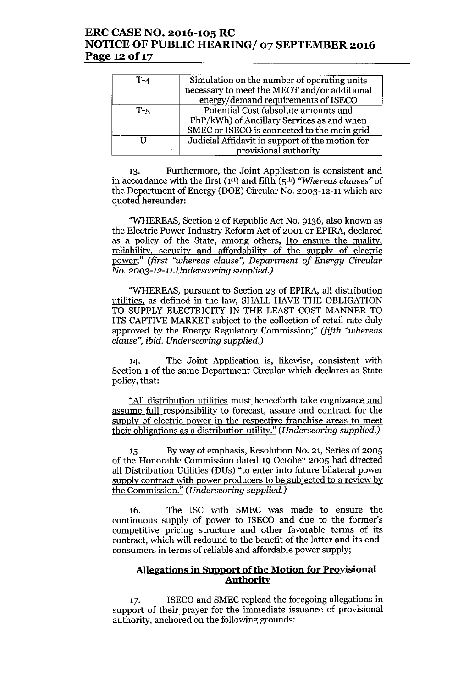## **ERC CASE NO. 2016-105 RC NOTICE OF PUBLIC HEARING/ 07 SEPTEMBER 2016** Page 12 of 17

| $T-4$ | Simulation on the number of operating units<br>necessary to meet the MEOT and/or additional<br>energy/demand requirements of ISECO |
|-------|------------------------------------------------------------------------------------------------------------------------------------|
| $T-5$ | Potential Cost (absolute amounts and<br>PhP/kWh) of Ancillary Services as and when<br>SMEC or ISECO is connected to the main grid  |
| ٠     | Judicial Affidavit in support of the motion for<br>provisional authority                                                           |

13. Furthermore, the Joint Application is consistent and in accordance with the first (1st) and fifth (5th) *"Whereas clauses"* of the Department of Energy (DOE) Circular No. 2003-12-11 which are quoted hereunder:

"WHEREAS, Section 2 of Republic Act No. 9136, also known as the Electric Power Industry Reform Act of 2001 or EPIRA, declared as a policy of the State, among others, [to ensure the quality, reliability, security and affordability of the supply of electric power;" *(first "whereas clause", Department of Energy Circular No. 2003-12-11. Underscoring supplied.)*

"WHEREAS, pursuant to Section 23 of EPIRA, all distribution utilities. as defined in the law, SHALL HAVE THE OBLIGATION TO SUPPLY ELECTRICITY IN THE LEAST COST MANNER TO ITS CAPTIVE MARKET subject to the collection of retail rate duly approved by the Energy Regulatory Commission;" *(fifth "whereas clause", ibid. Underscoring supplied.)*

14. The Joint Application is, likewise, consistent with Section 1 of the same Department Circular which declares as State policy, that:

"All distribution utilities must henceforth take cognizance and assume full responsibility to forecast, assure and contract for the supply of electric power in the respective franchise areas to meet their obligations as a distribution utility." *(Underscoring supplied.)*

15. Byway of emphasis, Resolution No. 21, Series of 2005 of the Honorable Commission dated 19 October 2005 had directed all Distribution Utilities (DUs) "to enter into future bilateral power supply contract with power producers to be subjected to a review by the Commission." *(Underscoring supplied.)*

16. The ISC with SMEC was made to ensure the continuous supply of power to ISECO and due to the former's competitive pricing structure and other favorable terms of its contract, which will redound to the benefit of the latter and its endconsumers in terms of reliable and affordable power supply;

## **Allegations in Support** ofthe **Motion for Provisional Authority**

17. ISECO and SMEC replead the foregoing allegations in support of their prayer for the immediate issuance of provisional authority, anchored on the following grounds: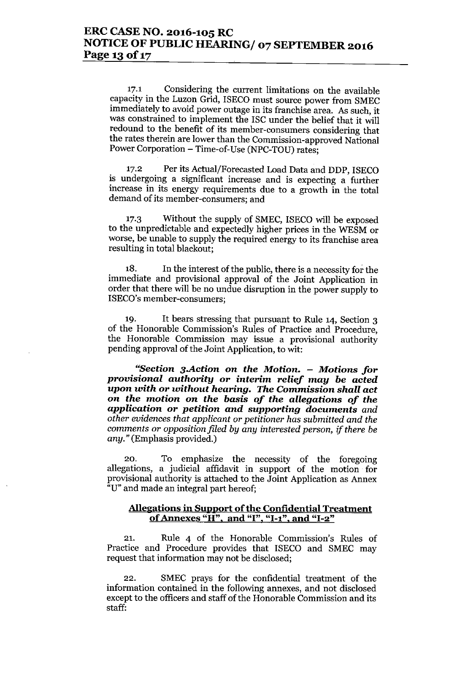17.1 Considering the current limitations on the available capacity in the Luzon Grid, ISECO must source power from SMEC immediately to avoid power outage in its franchise area. As such, it was constrained to implement the ISC under the belief that it will redound to the benefit of its member-consumers considering that the rates therein are lower than the Commission-approved National Power Corporation - Time-of-Use (NPC-TOU) rates;

17.2 Per its Actual/Forecasted Load Data and DDP, ISECO is undergoing a significant increase and is expecting a further increase in its energy requirements due to a growth in the total demand of its member-consumers; and

17.3 Without the supply of SMEC, ISECO will be exposed to the unpredictable and expectedly higher prices in the WESM or worse, be unable to supply the required energy to its franchise area resulting in total blackout;

18. In the interest of the public, there is a necessity for the immediate and provisional approval of the Joint Application in order that there will be no undue disruption in the power supply to ISECO's member-consumers;

19. It bears stressing that pursuant to Rule 14, Section 3 of the Honorable Commission's Rules of Practice and Procedure, the Honorable Commission may issue a provisional authority pending approval of the Joint Application, to wit:

**"Section** *3.Action* **on** *the Motion. - Motions for provisional authority* **or** *interim relief may be acted upon with* **or** *without hearing. The Commission shall act* **on** *the* **motion on** *the basis of the allegations of the application* **or** *petition and supporting documents and other evidences that applicant or petitioner has submitted and the comments* or *opposition filed by any interested person, if there be any."* (Emphasis provided.)

20. To emphasize the necessity of the foregoing allegations, a judicial affidavit in support of the motion for provisional authority is attached to the Joint Application as Annex "u" and made an integral part hereof;

### **Allegations in Support** of the **Confidential Treatment of Annexes "H". and "I","I-I", and "1-2"**

21. Rule 4 of the Honorable Commission's Rules of Practice and Procedure provides that ISECO and SMEC may request that information may not be disclosed;

22. SMEC prays for the confidential treatment of the information contained in the following annexes, and not disclosed except to the officers and staff of the Honorable Commission and its staff: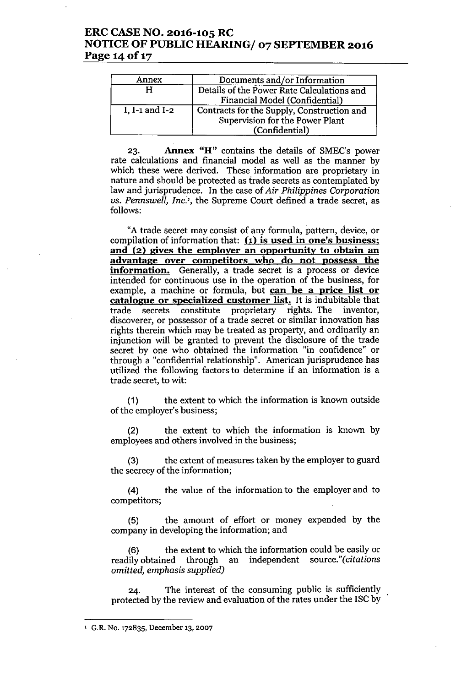## ERC CASE NO. 2016-105 RC NOTICE OF PUBLIC HEARING/ 07 SEPTEMBER 2016 Page 14 of 17

| Annex          | Documents and/or Information                                                                    |
|----------------|-------------------------------------------------------------------------------------------------|
|                | Details of the Power Rate Calculations and<br>Financial Model (Confidential)                    |
| I, I-1 and I-2 | Contracts for the Supply, Construction and<br>Supervision for the Power Plant<br>(Confidential) |

23. Annex "H" contains the details of SMEC's power rate calculations and financial model as well as the manner by which these were derived. These information are proprietary in nature and should be protected as trade secrets as contemplated by law and jurisprudence. In the case of *Air Philippines Corporation us. Pennswell, Inc.',* the Supreme Court defined a trade secret, as follows:

"A trade secret may consist of any formula, pattern, device, or compilation of information that:  $(1)$  is used in one's business; and (2) gives the employer an opportunity to obtain an advantage over competitors who do not possess the information. Generally, a trade secret is a process or device intended for continuous use in the operation of the business, for example, a machine or formula, but can be a price list or catalogue or specialized customer list. It is indubitable that trade secrets constitute proprietary rights. The inventor, discoverer, or possessor of a trade secret or similar innovation has rights therein which may be treated as property, and ordinarily an injunction will be granted to prevent the disclosure of the trade secret by one who obtained the information "in confidence" or through a "confidential relationship". American jurisprudence has utilized the following factors to determine if an information is a trade secret, to wit:

(1) the extent to which the information is known outside of the employer's business;

(2) the extent to which the information is known by employees and others involved in the business;

(3) the extent of measures taken by the employer to guard the secrecy of the information;

(4) the value of the information to the employer and to competitors;

(5) the amount of effort or money expended by the company in developing the information; and

(6) the extent to which the information could be easily or readily obtained through an independent source."(citations *omitted, emphasis supplied)*

24. The interest of the consuming public is sufficiently protected by the review and evaluation of the rates under the ISC by

<sup>&</sup>lt;sup>1</sup> G.R. No. 172835, December 13, 2007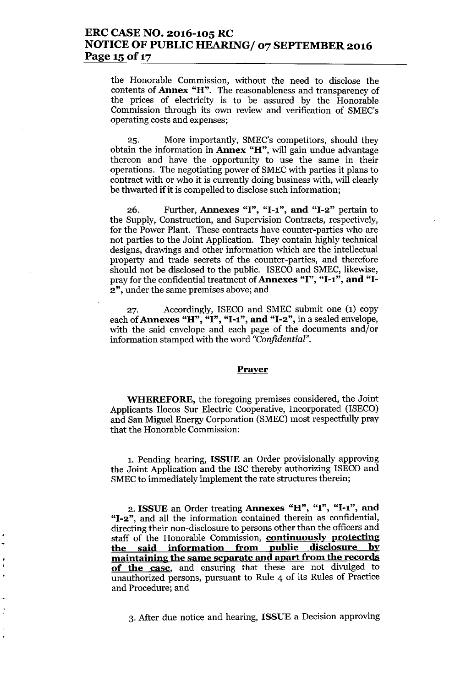# ERC CASE NO. 2016-105 RC NOTICE OF PUBLIC HEARING/ 07 SEPTEMBER 2016 Page 15 of 17

the Honorable Commission, without the need to disclose the contents of Annex "H". The reasonableness and transparency of the prices of electricity is to be assured by the Honorable Commission through its own review and verification of SMEC's operating costs and expenses;

25. More importantly, SMEC's competitors, should they obtain the information in Annex "H", will gain undue advantage thereon and have the opportunity to use the same in their operations. The negotiating power of SMECwith parties it plans to contract with or who it is currently doing business with, will clearly be thwarted if it is compelled to disclose such information;

26. Further, Annexes "I", "1-1", and "1-2" pertain to the Supply, Construction, and Supervision Contracts, respectively, for the Power Plant. These contracts have counter-parties who are not parties to the Joint Application. They contain highly technical designs, drawings and other information which are the intellectual property and trade secrets of the counter-parties, and therefore should not be disclosed to the public. ISECO and SMEC, likewise, pray for the confidential treatment of Annexes "I", "I-1", and "I-2", under the same premises above; and

27. Accordingly, ISECO and SMEC submit one (1) copy each of Annexes "H", "I", "I-1", and "I-2", in a sealed envelope, with the said envelope and each page of the documents and/or information stamped with the word *"Confidential".*

#### Prayer

WHEREFORE, the foregoing premises considered, the Joint Applicants Ilocos Sur Electric Cooperative, Incorporated (ISECO) and San Miguel Energy Corporation (SMEC) most respectfully pray that the Honorable Commission:

1. Pending hearing, ISSUE an Order provisionally approving the Joint Application and the ISC thereby authorizing ISECO and SMEC to immediately implement the rate structures therein;

2. ISSUE an Order treating Annexes "H", "I", "1-1", and "1-2", and all the information contained therein as confidential, directing their non-disclosure to persons other than the officers and staff of the Honorable Commission, **continuously protecting** the said information from public disclosure by maintaining the same separate and apart from the records of the case, and ensuring that these are not divulged to unauthorized persons, pursuant to Rule 4 of its Rules of Practice and Procedure; and

3. After due notice and hearing, ISSUE a Decision approving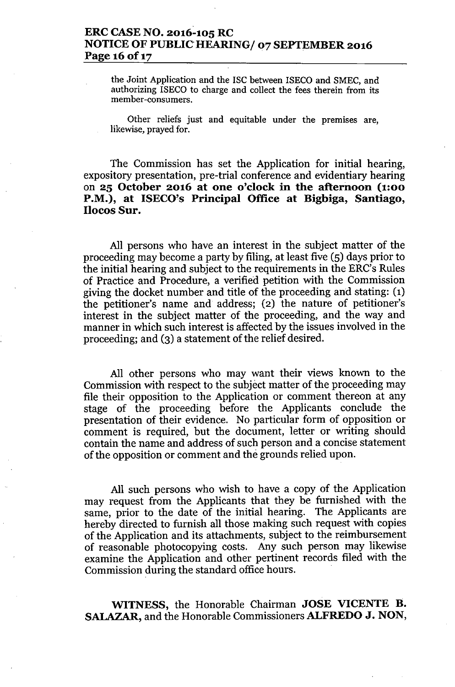# **ERC CASE NO. 2016-105 RC NOTICE OF** PUBLIC HEARING/ **07 SEPTEMBER 2016 Page 16 of 17**

the Joint Application and the ISC between ISECO and SMEC, and authorizing ISECO to charge and collect the fees therein from its member-consumers.

Other reliefs just and equitable under the premises are, likewise, prayed for.

The Commission has set the Application for initial hearing, expository presentation, pre-trial conference and evidentiary hearing on **25 October 2016 at one o'clock in the afternoon (1:00 P.M.), at ISECO's Principal Office at Bigbiga, Santiago, Ilocos Sur.**

All persons who have an interest in the subject matter of the proceeding may become a party by filing, at least five (5) days prior to the initial hearing and subject to the requirements in the ERC's Rules of Practice and Procedure, a verified petition with the Commission giving the docket number and title of the proceeding and stating: (1) the petitioner's name and address; (2) the nature of petitioner's interest in the subject matter of the proceeding, and the way and manner in which such interest is affected by the issues involved in the proceeding; and (3) a statement of the relief desired.

All other persons who may want their views known to the Commission with respect to the subject matter of the proceeding may file their opposition to the Application or comment thereon at any stage of the proceeding before the Applicants conclude the presentation of their evidence. No particular form of opposition or comment is required, but the document, letter or writing should contain the name and address of such person and a concise statement of the opposition or comment and the grounds relied upon.

All such persons who wish to have a copy of the Application may request from the Applicants that they be furnished with the same, prior to the date of the initial hearing. The Applicants are hereby directed to furnish all those making such request with copies of the Application and its attachments, subject to the reimbursement of reasonable photocopying costs. Any such person may likewise examine the Application and other pertinent records filed with the Commission during the standard office hours.

**WITNESS,** the Honorable Chairman **JOSE VICENTE n. SALAZAR,** and the Honorable Commissioners **ALFREDO J. NON,**